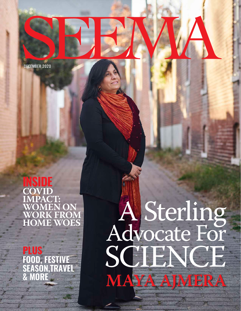DECEMBER 2020

### **INSIDE COVID IMPACT: WOMEN ON WORK FROM HOME WOES**

**PLUS FOOD, FESTIVE SEASON,TRAVEL & MORE**

## A Sterling Advocate For SCIENCE **MAYA AJMERA**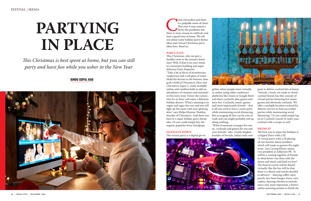

#### **BINDU GOPAL RAO**



*This Christmas is best spent at home, but you can still party and have fun while you usher in the New Year*

ome December and there<br>
is a palpable sense of chee<br>
This year it may muted a<br>
bit by the pandemic but<br>
there is more reason to celebrate and<br>
have a good time at home. We tell is a palpable sense of cheer. This year it may muted a bit by the pandemic but there is more reason to celebrate and have a good time at home. We tell you about some holiday party theme ideas and virtual Christmas party ideas here. Read on.

#### **PARTY EATS**

This Christmas, why not give a healthy twist to the season's festivities? Well, if that is on your mind, try immunity building and super delicious Party Popsicles.

"Take a bit of slices of strawberries, raspberries and a tall glass of water. Mold the berries to the bottom, then grab a hold of Chicnutrix Glow and Chicnutrix Super C, easily available online and combine both to add an abundance of vitamins and nutrients to this tasty treat. Freeze the concoction for an hour and enjoy a delicious holiday dessert. What's amazing is its vegan and sugar free too and you will light up the room with your glowing skin," says Shilpa Khanna Thakkar, founder of Chicnutrix. And there you have it: a super holiday party theme idea. Or you could simply buy the organic popsicles from Goodpops.

**GUZZLE IT DOWN** The virtual party is a digital get-together where people meet virtually or online using video conference platforms like Zoom or Google Meet and share cocktails, play games and have fun. Cocktails, music, games and most importantly friends – that is all you need to have a zoom party

while maintaining social distancing. But arranging all this can be a lot of work and you might probably end up doing nothing. "What if someone arranges live music, cocktails and games for you and your friends," asks Vrinda Singhal, founder of Swizzle, India's only com-



pany to deliver cocktail kits at home. "Swizzle, a fresh, yet ready-to-drink cocktail brand, has this concept of virtual parties featuring live music, games and obviously cocktails. We offer a multiple location cocktail kit delivery service to host successful parties while maintaining social distancing." Or you could simply log on to Cocktail Courier to order your cocktail with a recipe as well.

#### **SWING IT**

The best way to enjoy the holidays is a Digital Disco with a DJ. "A virtual party with a DJ playing all our favorite dance numbers which will make us groove the night away," says Lavang Khare, senior vice president at Adfactors PR. "It will be a coming together of friends in what better way than with the dance and music and food we love? The food of course will be shared virtually. But the fun will be that there is a theme and snacks decided in advance – dancing coffee, tipsy punch, lazy bean burger, frizzy corn cutlets, dancing chicken in teriyaki sauce and, most important, a festive online jamming session to finish the

# **PARTYING IN PLACE**